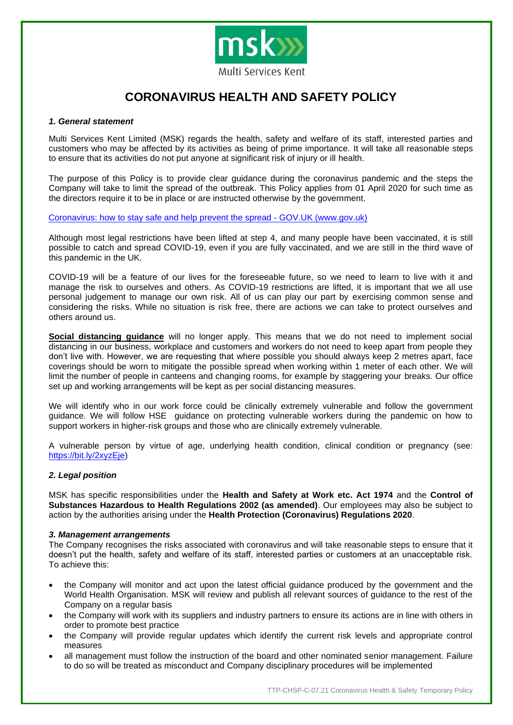

# **CORONAVIRUS HEALTH AND SAFETY POLICY**

## *1. General statement*

Multi Services Kent Limited (MSK) regards the health, safety and welfare of its staff, interested parties and customers who may be affected by its activities as being of prime importance. It will take all reasonable steps to ensure that its activities do not put anyone at significant risk of injury or ill health.

The purpose of this Policy is to provide clear guidance during the coronavirus pandemic and the steps the Company will take to limit the spread of the outbreak. This Policy applies from 01 April 2020 for such time as the directors require it to be in place or are instructed otherwise by the government.

[Coronavirus: how to stay safe and help prevent the spread -](http://Coronavirus:%20how%20to%20stay%20safe%20and%20help%20prevent%20the%20spread%20-%20GOV.UK%20(www.gov.uk)) GOV.UK (www.gov.uk)

Although most legal restrictions have been lifted at step 4, and many people have been vaccinated, it is still possible to catch and spread COVID-19, even if you are fully vaccinated, and we are still in the third wave of this pandemic in the UK.

COVID-19 will be a feature of our lives for the foreseeable future, so we need to learn to live with it and manage the risk to ourselves and others. As COVID-19 restrictions are lifted, it is important that we all use personal judgement to manage our own risk. All of us can play our part by exercising common sense and considering the risks. While no situation is risk free, there are actions we can take to protect ourselves and others around us.

**Social distancing guidance** will no longer apply. This means that we do not need to implement social distancing in our business, workplace and customers and workers do not need to keep apart from people they don't live with. However, we are requesting that where possible you should always keep 2 metres apart, face coverings should be worn to mitigate the possible spread when working within 1 meter of each other. We will limit the number of people in canteens and changing rooms, for example by staggering your breaks. Our office set up and working arrangements will be kept as per social distancing measures.

We will identify who in our work force could be clinically extremely vulnerable and follow the government guidance. We will follow HSE guidance on protecting vulnerable workers during the pandemic on how to support workers in higher-risk groups and those who are clinically extremely vulnerable.

A vulnerable person by virtue of age, underlying health condition, clinical condition or pregnancy (see: [https://bit.ly/2xyzEje\)](https://bit.ly/2xyzEje)

## *2. Legal position*

MSK has specific responsibilities under the **Health and Safety at Work etc. Act 1974** and the **Control of Substances Hazardous to Health Regulations 2002 (as amended)**. Our employees may also be subject to action by the authorities arising under the **Health Protection (Coronavirus) Regulations 2020**.

## *3. Management arrangements*

The Company recognises the risks associated with coronavirus and will take reasonable steps to ensure that it doesn't put the health, safety and welfare of its staff, interested parties or customers at an unacceptable risk. To achieve this:

- the Company will monitor and act upon the latest official guidance produced by the government and the World Health Organisation. MSK will review and publish all relevant sources of guidance to the rest of the Company on a regular basis
- the Company will work with its suppliers and industry partners to ensure its actions are in line with others in order to promote best practice
- the Company will provide regular updates which identify the current risk levels and appropriate control measures
- all management must follow the instruction of the board and other nominated senior management. Failure to do so will be treated as misconduct and Company disciplinary procedures will be implemented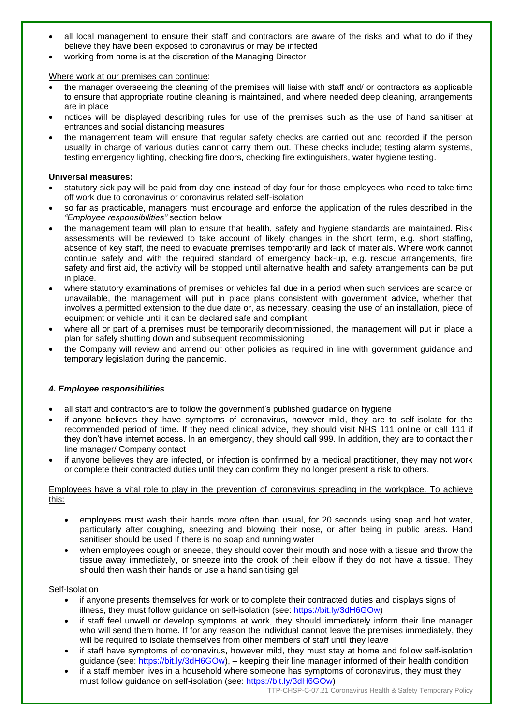- all local management to ensure their staff and contractors are aware of the risks and what to do if they believe they have been exposed to coronavirus or may be infected
- working from home is at the discretion of the Managing Director

## Where work at our premises can continue:

- the manager overseeing the cleaning of the premises will liaise with staff and/ or contractors as applicable to ensure that appropriate routine cleaning is maintained, and where needed deep cleaning, arrangements are in place
- notices will be displayed describing rules for use of the premises such as the use of hand sanitiser at entrances and social distancing measures
- the management team will ensure that regular safety checks are carried out and recorded if the person usually in charge of various duties cannot carry them out. These checks include; testing alarm systems, testing emergency lighting, checking fire doors, checking fire extinguishers, water hygiene testing.

## **Universal measures:**

- statutory sick pay will be paid from day one instead of day four for those employees who need to take time off work due to coronavirus or coronavirus related self-isolation
- so far as practicable, managers must encourage and enforce the application of the rules described in the *"Employee responsibilities"* section below
- the management team will plan to ensure that health, safety and hygiene standards are maintained. Risk assessments will be reviewed to take account of likely changes in the short term, e.g. short staffing, absence of key staff, the need to evacuate premises temporarily and lack of materials. Where work cannot continue safely and with the required standard of emergency back-up, e.g. rescue arrangements, fire safety and first aid, the activity will be stopped until alternative health and safety arrangements can be put in place.
- where statutory examinations of premises or vehicles fall due in a period when such services are scarce or unavailable, the management will put in place plans consistent with government advice, whether that involves a permitted extension to the due date or, as necessary, ceasing the use of an installation, piece of equipment or vehicle until it can be declared safe and compliant
- where all or part of a premises must be temporarily decommissioned, the management will put in place a plan for safely shutting down and subsequent recommissioning
- the Company will review and amend our other policies as required in line with government guidance and temporary legislation during the pandemic.

## *4. Employee responsibilities*

- all staff and contractors are to follow the government's published guidance on hygiene
- if anyone believes they have symptoms of coronavirus, however mild, they are to self-isolate for the recommended period of time. If they need clinical advice, they should visit NHS 111 online or call 111 if they don't have internet access. In an emergency, they should call 999. In addition, they are to contact their line manager/ Company contact
- if anyone believes they are infected, or infection is confirmed by a medical practitioner, they may not work or complete their contracted duties until they can confirm they no longer present a risk to others.

## Employees have a vital role to play in the prevention of coronavirus spreading in the workplace. To achieve this:

- employees must wash their hands more often than usual, for 20 seconds using soap and hot water, particularly after coughing, sneezing and blowing their nose, or after being in public areas. Hand sanitiser should be used if there is no soap and running water
- when employees cough or sneeze, they should cover their mouth and nose with a tissue and throw the tissue away immediately, or sneeze into the crook of their elbow if they do not have a tissue. They should then wash their hands or use a hand sanitising gel

## Self-Isolation

- if anyone presents themselves for work or to complete their contracted duties and displays signs of illness, they must follow guidance on self-isolation (see: [https://bit.ly/3dH6GOw\)](https://bit.ly/3dH6GOw)
- if staff feel unwell or develop symptoms at work, they should immediately inform their line manager who will send them home. If for any reason the individual cannot leave the premises immediately, they will be required to isolate themselves from other members of staff until they leave
- if staff have symptoms of coronavirus, however mild, they must stay at home and follow self-isolation guidance (see: [https://bit.ly/3dH6GOw\)](https://bit.ly/3dH6GOw), – keeping their line manager informed of their health condition
- if a staff member lives in a household where someone has symptoms of coronavirus, they must they must follow guidance on self-isolation (see: [https://bit.ly/3dH6GOw\)](https://bit.ly/3dH6GOw)